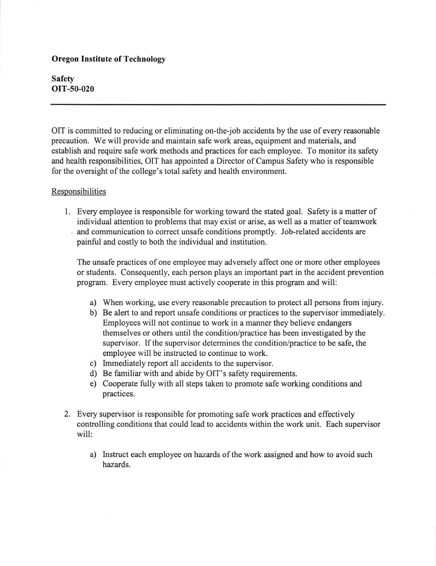## Oregon Institute of Technology

Safety oIT-50-020

OIT is committed to reducing or eliminating on-the-job accidents by the use of every reasonable precaution. We will provide and maintain safe work areas, equipment and materials, and establish and require safe work methods and practices for each employee. To monitor its safety and health responsibilities, OIT has appointed a Director of Campus Safety who is responsible for the oversight of the college's total safety and health environment.

## **Responsibilities**

Every employee is responsible for working toward the stated goal. Safety is a matter of individual attention to problems that may exist or arise, as well as a matter of teamwork and communication to correct unsafe conditions promptly. Job-related accidents are painful and costly to both the individual and institution.

The unsafe practices of one employee may adversely affect one or more other employees or students. Consequently, each person plays an important part in the accident prevention program. Every employee must actively cooperate in this program and will:

- a) When working, use every reasonable precaution to protect all persons from injury.
- b) Be alert to and report unsafe conditions or practices to the supervisor immediately. Employees will not continue to work in a manner they believe endangers themselves or others until the condition/practice has been investigated by the supervisor. If the supervisor determines the condition/practice to be safe, the employee will be instructed to continue to work.
- c) Immediately report all accidents to the supervisor.
- d) Be familiar with and abide by OIT's safety requirements.
- e) Cooperate fully with all steps taken to promote safe working conditions and practices.
- 2. Every supervisor is responsible for promoting safe work practices and effectively controlling conditions that could lead to accidents within the work unit. Each supervisor will:
	- a) Instruct each employee on hazards of the work assigned and how to avoid such hazards.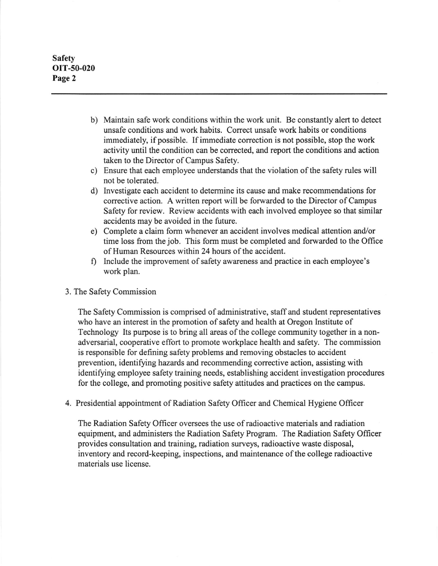Safety OIT-50-020 Page 2

- b) Maintain safe work conditions within the work unit. Be constantly alert to detect unsafe conditions and work habits. Correct unsafe work habits or conditions immediately, if possible. If immediate correction is not possible, stop the work activity until the condition can be corrected, and report the conditions and action taken to the Director of Campus Safety.
- c) Ensure that each employee understands that the violation of the safety rules will not be tolerated.
- d) Investigate each accident to determine its cause and make recommendations for corrective action. A written report will be forwarded to the Director of Campus Safety for review. Review accidents with each involved employee so that similar accidents may be avoided in the future.
- e) Complete a claim form whenever an accident involves medical attention and/or time loss from the job. This form must be completed and forwarded to the Office of Human Resources within 24 hours of the accident.
- f) lnclude the improvement of safety awareness and practice in each employee's work plan.

## 3. The Safety Commission

The Safety Commission is comprised of administrative, staff and student representatives who have an interest in the promotion of safety and health at Oregon lnstitute of Technology Its purpose is to bring all areas of the college community together in a nonadversarial, cooperative effort to promote workplace health and safety. The commission is responsible for defining safety problems and removing obstacles to accident prevention, identifying hazards and recommending corrective action, assisting with identifying employee safety training needs, establishing accident investigation procedures for the college, and promoting positive safety attitudes and practices on the campus.

4. Presidential appointment of Radiation Safety Oflicer and Chemical Hygiene Officer

The Radiation Safety Offrcer oversees the use ofradioactive materials and radiation equipment, and administers the Radiation Safety Program. The Radiation Safety Officer provides consultation and training, radiation surveys, radioactive waste disposal, inventory and record-keeping, inspections, and maintenance of the college radioactive materials use license.